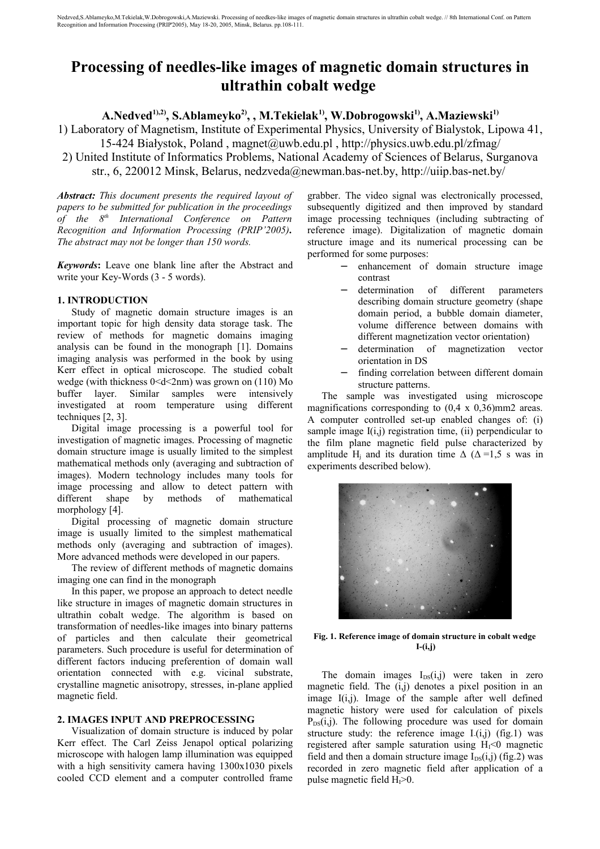# **Processing of needles-like images of magnetic domain structures in ultrathin cobalt wedge**

**A.Nedved1),2), S.Ablameyko2), , M.Tekielak1), W.Dobrogowski1), A.Maziewski1)**

1) Laboratory of Magnetism, Institute of Experimental Physics, University of Bialystok, Lipowa 41,

15-424 Białystok, Poland , magnet@uwb.edu.pl , http://physics.uwb.edu.pl/zfmag/

2) United Institute of Informatics Problems, National Academy of Sciences of Belarus, Surganova

str., 6, 220012 Minsk, Belarus, nedzveda@newman.bas-net.by, http://uiip.bas-net.by/

*Abstract: This document presents the required layout of papers to be submitted for publication in the proceedings of the 8 th International Conference on Pattern Recognition and Information Processing (PRIP'2005). The abstract may not be longer than 150 words.*

*Keywords***:** Leave one blank line after the Abstract and write your Key-Words (3 - 5 words).

# **1. INTRODUCTION**

Study of magnetic domain structure images is an important topic for high density data storage task. The review of methods for magnetic domains imaging analysis can be found in the monograph [1]. Domains imaging analysis was performed in the book by using Kerr effect in optical microscope. The studied cobalt wedge (with thickness  $0 < d < 2$ nm) was grown on (110) Mo buffer layer. Similar samples were intensively investigated at room temperature using different techniques [2, 3].

Digital image processing is a powerful tool for investigation of magnetic images. Processing of magnetic domain structure image is usually limited to the simplest mathematical methods only (averaging and subtraction of images). Modern technology includes many tools for image processing and allow to detect pattern with different shape by methods of mathematical morphology [4].

Digital processing of magnetic domain structure image is usually limited to the simplest mathematical methods only (averaging and subtraction of images). More advanced methods were developed in our papers.

The review of different methods of magnetic domains imaging one can find in the monograph

In this paper, we propose an approach to detect needle like structure in images of magnetic domain structures in ultrathin cobalt wedge. The algorithm is based on transformation of needles-like images into binary patterns of particles and then calculate their geometrical parameters. Such procedure is useful for determination of different factors inducing preferention of domain wall orientation connected with e.g. vicinal substrate, crystalline magnetic anisotropy, stresses, in-plane applied magnetic field.

# **2. IMAGES INPUT AND PREPROCESSING**

Visualization of domain structure is induced by polar Kerr effect. The Carl Zeiss Jenapol optical polarizing microscope with halogen lamp illumination was equipped with a high sensitivity camera having 1300x1030 pixels cooled CCD element and a computer controlled frame

grabber. The video signal was electronically processed, subsequently digitized and then improved by standard image processing techniques (including subtracting of reference image). Digitalization of magnetic domain structure image and its numerical processing can be performed for some purposes:

- enhancement of domain structure image contrast
	- − determination of different parameters describing domain structure geometry (shape domain period, a bubble domain diameter, volume difference between domains with different magnetization vector orientation)
- − determination of magnetization vector orientation in DS
- finding correlation between different domain structure patterns.

The sample was investigated using microscope magnifications corresponding to  $(0.4 \times 0.36)$ mm2 areas. A computer controlled set-up enabled changes of: (i) sample image  $I(i,j)$  registration time,  $(ii)$  perpendicular to the film plane magnetic field pulse characterized by amplitude H<sub>i</sub> and its duration time  $\Delta$  ( $\Delta$  =1,5 s was in experiments described below).



**Fig. 1. Reference image of domain structure in cobalt wedge I-(i,j)**

The domain images  $I_{DS}(i,j)$  were taken in zero magnetic field. The (i,j) denotes a pixel position in an image I(i,j). Image of the sample after well defined magnetic history were used for calculation of pixels  $P_{DS}(i,j)$ . The following procedure was used for domain structure study: the reference image  $I(i,j)$  (fig.1) was registered after sample saturation using  $H_1 < 0$  magnetic field and then a domain structure image  $I_{DS}(i,j)$  (fig.2) was recorded in zero magnetic field after application of a pulse magnetic field  $H<sub>I</sub> > 0$ .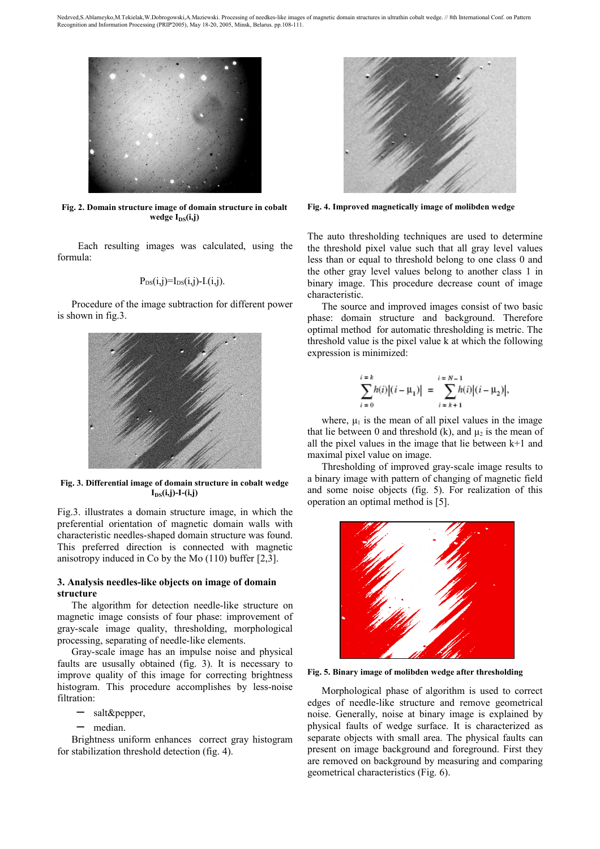

**Fig. 2. Domain structure image of domain structure in cobalt wedge I**<sub>DS</sub>(i,j)

 Each resulting images was calculated, using the formula:

$$
P_{DS}(i,j)=I_{DS}(i,j)-I(i,j).
$$

Procedure of the image subtraction for different power is shown in fig.3.



**Fig. 3. Differential image of domain structure in cobalt wedge**   $I_{DS}(i,j)$ -I- $(i,j)$ 

Fig.3. illustrates a domain structure image, in which the preferential orientation of magnetic domain walls with characteristic needles-shaped domain structure was found. This preferred direction is connected with magnetic anisotropy induced in Co by the Mo (110) buffer [2,3].

## **3. Analysis needles-like objects on image of domain structure**

The algorithm for detection needle-like structure on magnetic image consists of four phase: improvement of gray-scale image quality, thresholding, morphological processing, separating of needle-like elements.

Gray-scale image has an impulse noise and physical faults are ususally obtained (fig. 3). It is necessary to improve quality of this image for correcting brightness histogram. This procedure accomplishes by less-noise filtration:

- salt&pepper.
- median.

Brightness uniform enhances correct gray histogram for stabilization threshold detection (fig. 4).



**Fig. 4. Improved magnetically image of molibden wedge** 

The auto thresholding techniques are used to determine the threshold pixel value such that all gray level values less than or equal to threshold belong to one class 0 and the other gray level values belong to another class 1 in binary image. This procedure decrease count of image characteristic.

The source and improved images consist of two basic phase: domain structure and background. Therefore optimal method for automatic thresholding is metric. The threshold value is the pixel value k at which the following expression is minimized:

$$
\sum_{i=0}^{i=k} h(i) |(i-\mu_1)| = \sum_{i=k+1}^{i=N-1} h(i) |(i-\mu_2)|,
$$

where,  $\mu_1$  is the mean of all pixel values in the image that lie between 0 and threshold (k), and  $\mu_2$  is the mean of all the pixel values in the image that lie between  $k+1$  and maximal pixel value on image.

Thresholding of improved gray-scale image results to a binary image with pattern of changing of magnetic field and some noise objects (fig. 5). For realization of this operation an optimal method is [5].



**Fig. 5. Binary image of molibden wedge after thresholding**

Morphological phase of algorithm is used to correct edges of needle-like structure and remove geometrical noise. Generally, noise at binary image is explained by physical faults of wedge surface. It is characterized as separate objects with small area. The physical faults can present on image background and foreground. First they are removed on background by measuring and comparing geometrical characteristics (Fig. 6).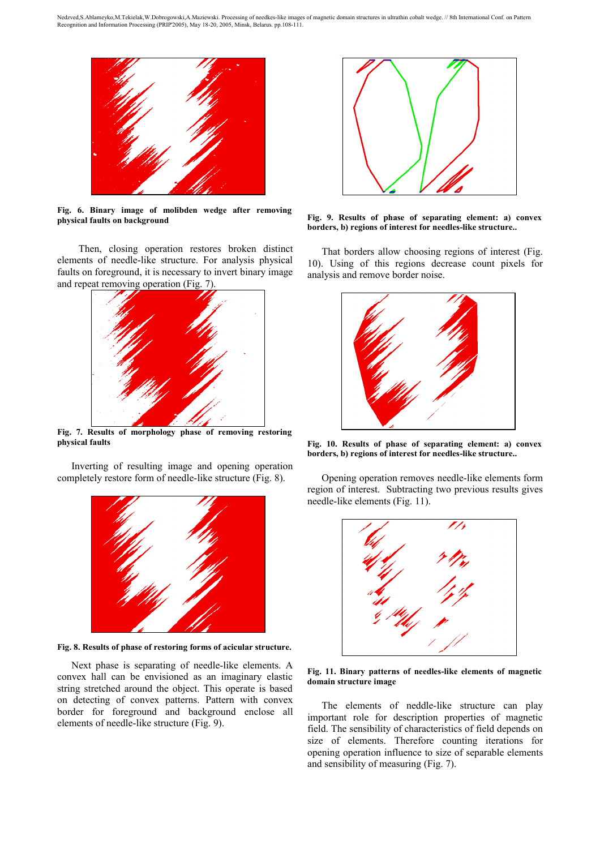

**Fig. 6. Binary image of molibden wedge after removing physical faults on background**

 Then, closing operation restores broken distinct elements of needle-like structure. For analysis physical faults on foreground, it is necessary to invert binary image and repeat removing operation (Fig. 7).



**Fig. 7. Results of morphology phase of removing restoring physical faults**

Inverting of resulting image and opening operation completely restore form of needle-like structure (Fig. 8).



**Fig. 8. Results of phase of restoring forms of acicular structure.**

Next phase is separating of needle-like elements. A convex hall can be envisioned as an imaginary elastic string stretched around the object. This operate is based on detecting of convex patterns. Pattern with convex border for foreground and background enclose all elements of needle-like structure (Fig. 9).



**Fig. 9. Results of phase of separating element: a) convex borders, b) regions of interest for needles-like structure..**

That borders allow choosing regions of interest (Fig. 10). Using of this regions decrease count pixels for analysis and remove border noise.



**Fig. 10. Results of phase of separating element: a) convex borders, b) regions of interest for needles-like structure..**

Opening operation removes needle-like elements form region of interest. Subtracting two previous results gives needle-like elements (Fig. 11).



**Fig. 11. Binary patterns of needles-like elements of magnetic domain structure image**

The elements of neddle-like structure can play important role for description properties of magnetic field. The sensibility of characteristics of field depends on size of elements. Therefore counting iterations for opening operation influence to size of separable elements and sensibility of measuring (Fig. 7).